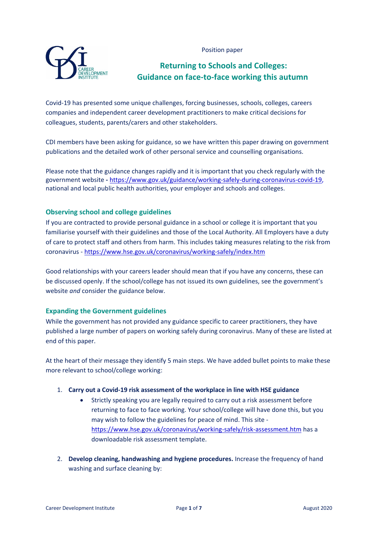Position paper



# **Returning to Schools and Colleges: Guidance on face-to-face working this autumn**

Covid-19 has presented some unique challenges, forcing businesses, schools, colleges, careers companies and independent career development practitioners to make critical decisions for colleagues, students, parents/carers and other stakeholders.

CDI members have been asking for guidance, so we have written this paper drawing on government publications and the detailed work of other personal service and counselling organisations.

Please note that the guidance changes rapidly and it is important that you check regularly with the government website **-** [https://www.gov.uk/guidance/working-safely-during-coronavirus-covid-19,](https://www.gov.uk/guidance/working-safely-during-coronavirus-covid-19) national and local public health authorities, your employer and schools and colleges.

# **Observing school and college guidelines**

If you are contracted to provide personal guidance in a school or college it is important that you familiarise yourself with their guidelines and those of the Local Authority. All Employers have a duty of care to protect staff and others from harm. This includes taking measures relating to the risk from coronavirus - <https://www.hse.gov.uk/coronavirus/working-safely/index.htm>

Good relationships with your careers leader should mean that if you have any concerns, these can be discussed openly. If the school/college has not issued its own guidelines, see the government's website *and* consider the guidance below.

# **Expanding the Government guidelines**

While the government has not provided any guidance specific to career practitioners, they have published a large number of papers on working safely during coronavirus. Many of these are listed at end of this paper.

At the heart of their message they identify 5 main steps. We have added bullet points to make these more relevant to school/college working:

# 1. **Carry out a Covid-19 risk assessment of the workplace in line with HSE guidance**

- Strictly speaking you are legally required to carry out a risk assessment before returning to face to face working. Your school/college will have done this, but you may wish to follow the guidelines for peace of mind. This site <https://www.hse.gov.uk/coronavirus/working-safely/risk-assessment.htm> has a downloadable risk assessment template.
- 2. **Develop cleaning, handwashing and hygiene procedures.** Increase the frequency of hand washing and surface cleaning by: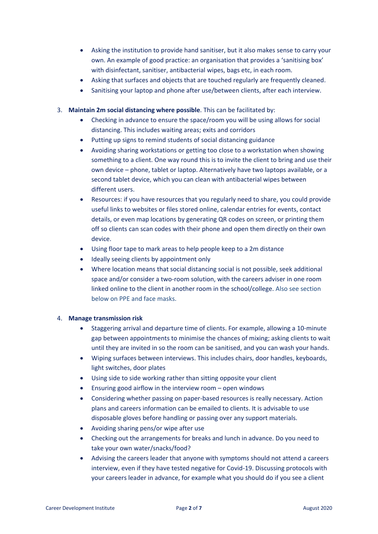- Asking the institution to provide hand sanitiser, but it also makes sense to carry your own. An example of good practice: an organisation that provides a 'sanitising box' with disinfectant, sanitiser, antibacterial wipes, bags etc, in each room.
- Asking that surfaces and objects that are touched regularly are frequently cleaned.
- Sanitising your laptop and phone after use/between clients, after each interview.
- 3. **Maintain 2m social distancing where possible**. This can be facilitated by:
	- Checking in advance to ensure the space/room you will be using allows for social distancing. This includes waiting areas; exits and corridors
	- Putting up signs to remind students of social distancing guidance
	- Avoiding sharing workstations or getting too close to a workstation when showing something to a client. One way round this is to invite the client to bring and use their own device – phone, tablet or laptop. Alternatively have two laptops available, or a second tablet device, which you can clean with antibacterial wipes between different users.
	- Resources: if you have resources that you regularly need to share, you could provide useful links to websites or files stored online, calendar entries for events, contact details, or even map locations by generating QR codes on screen, or printing them off so clients can scan codes with their phone and open them directly on their own device.
	- Using floor tape to mark areas to help people keep to a 2m distance
	- Ideally seeing clients by appointment only
	- Where location means that social distancing social is not possible, seek additional space and/or consider a two-room solution, with the careers adviser in one room linked online to the client in another room in the school/college. Also see section below on PPE and face masks.

## 4. **Manage transmission risk**

- Staggering arrival and departure time of clients. For example, allowing a 10-minute gap between appointments to minimise the chances of mixing; asking clients to wait until they are invited in so the room can be sanitised, and you can wash your hands.
- Wiping surfaces between interviews. This includes chairs, door handles, keyboards, light switches, door plates
- Using side to side working rather than sitting opposite your client
- Ensuring good airflow in the interview room  $-$  open windows
- Considering whether passing on paper-based resources is really necessary. Action plans and careers information can be emailed to clients. It is advisable to use disposable gloves before handling or passing over any support materials.
- Avoiding sharing pens/or wipe after use
- Checking out the arrangements for breaks and lunch in advance. Do you need to take your own water/snacks/food?
- Advising the careers leader that anyone with symptoms should not attend a careers interview, even if they have tested negative for Covid-19. Discussing protocols with your careers leader in advance, for example what you should do if you see a client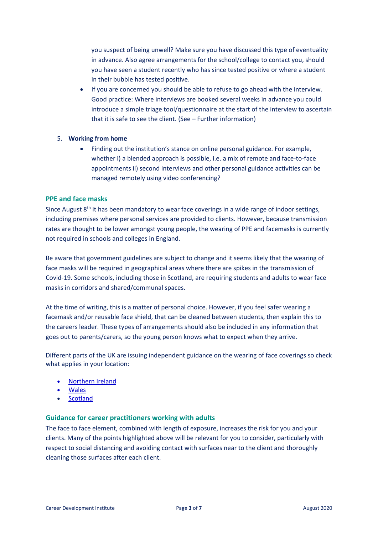you suspect of being unwell? Make sure you have discussed this type of eventuality in advance. Also agree arrangements for the school/college to contact you, should you have seen a student recently who has since tested positive or where a student in their bubble has tested positive.

• If you are concerned you should be able to refuse to go ahead with the interview. Good practice: Where interviews are booked several weeks in advance you could introduce a simple triage tool/questionnaire at the start of the interview to ascertain that it is safe to see the client. (See – Further information)

#### 5. **Working from home**

• Finding out the institution's stance on online personal guidance. For example, whether i) a blended approach is possible, i.e. a mix of remote and face-to-face appointments ii) second interviews and other personal guidance activities can be managed remotely using video conferencing?

#### **PPE and face masks**

Since August 8<sup>th</sup> it has been mandatory to wear face coverings in a wide range of indoor settings, including premises where personal services are provided to clients. However, because transmission rates are thought to be lower amongst young people, the wearing of PPE and facemasks is currently not required in schools and colleges in England.

Be aware that government guidelines are subject to change and it seems likely that the wearing of face masks will be required in geographical areas where there are spikes in the transmission of Covid-19. Some schools, including those in Scotland, are requiring students and adults to wear face masks in corridors and shared/communal spaces.

At the time of writing, this is a matter of personal choice. However, if you feel safer wearing a facemask and/or reusable face shield, that can be cleaned between students, then explain this to the careers leader. These types of arrangements should also be included in any information that goes out to parents/carers, so the young person knows what to expect when they arrive.

Different parts of the UK are issuing independent guidance on the wearing of face coverings so check what applies in your location:

- [Northern](https://www.publichealth.hscni.net/covid-19-coronavirus/covid-19-information-public#face-coverings) Ireland
- [Wales](https://gov.wales/face-coverings-frequently-asked-questions)
- [Scotland](https://www.gov.scot/publications/coronavirus-covid-19-phase-3-staying-safe-and-protecting-others/pages/face-coverings/)

#### **Guidance for career practitioners working with adults**

The face to face element, combined with length of exposure, increases the risk for you and your clients. Many of the points highlighted above will be relevant for you to consider, particularly with respect to social distancing and avoiding contact with surfaces near to the client and thoroughly cleaning those surfaces after each client.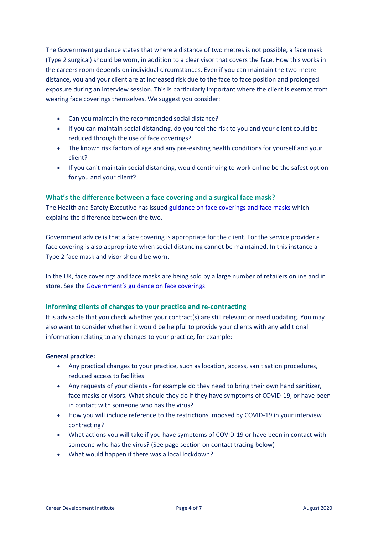The Government guidance states that where a distance of two metres is not possible, a face mask (Type 2 surgical) should be worn, in addition to a clear visor that covers the face. How this works in the careers room depends on individual circumstances. Even if you can maintain the two-metre distance, you and your client are at increased risk due to the face to face position and prolonged exposure during an interview session. This is particularly important where the client is exempt from wearing face coverings themselves. We suggest you consider:

- Can you maintain the recommended social distance?
- If you can maintain social distancing, do you feel the risk to you and your client could be reduced through the use of face coverings?
- The known risk factors of age and any pre-existing health conditions for yourself and your client?
- If you can't maintain social distancing, would continuing to work online be the safest option for you and your client?

# **What's the difference between a face covering and a surgical face mask?**

The Health and Safety Executive has issued guidance on face [coverings](https://www.hse.gov.uk/coronavirus/ppe-face-masks/face-coverings-and-face-masks.htm) and face masks which explains the difference between the two.

Government advice is that a face covering is appropriate for the client. For the service provider a face covering is also appropriate when social distancing cannot be maintained. In this instance a Type 2 face mask and visor should be worn.

In the UK, face coverings and face masks are being sold by a large number of retailers online and in store. See the [Government's](https://www.gov.uk/government/publications/face-coverings-when-to-wear-one-and-how-to-make-your-own/face-coverings-when-to-wear-one-and-how-to-make-your-own) guidance on face coverings.

# **Informing clients of changes to your practice and re-contracting**

It is advisable that you check whether your contract(s) are still relevant or need updating. You may also want to consider whether it would be helpful to provide your clients with any additional information relating to any changes to your practice, for example:

## **General practice:**

- Any practical changes to your practice, such as location, access, sanitisation procedures, reduced access to facilities
- Any requests of your clients for example do they need to bring their own hand sanitizer, face masks or visors. What should they do if they have symptoms of COVID-19, or have been in contact with someone who has the virus?
- How you will include reference to the restrictions imposed by COVID-19 in your interview contracting?
- What actions you will take if you have symptoms of COVID-19 or have been in contact with someone who has the virus? (See page section on contact tracing below)
- What would happen if there was a local lockdown?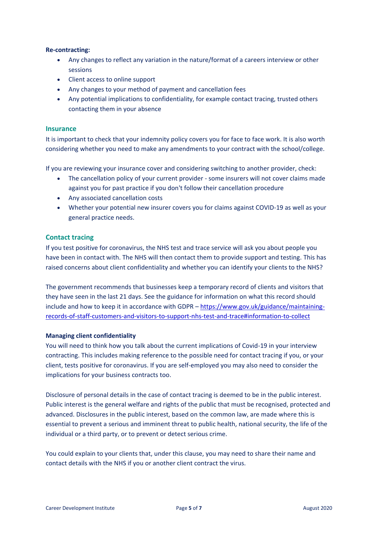## **Re-contracting:**

- Any changes to reflect any variation in the nature/format of a careers interview or other sessions
- Client access to online support
- Any changes to your method of payment and cancellation fees
- Any potential implications to confidentiality, for example contact tracing, trusted others contacting them in your absence

#### **Insurance**

It is important to check that your indemnity policy covers you for face to face work. It is also worth considering whether you need to make any amendments to your contract with the school/college.

If you are reviewing your insurance cover and considering switching to another provider, check:

- The cancellation policy of your current provider some insurers will not cover claims made against you for past practice if you don't follow their cancellation procedure
- Any associated cancellation costs
- Whether your potential new insurer covers you for claims against COVID-19 as well as your general practice needs.

## **Contact tracing**

If you test positive for coronavirus, the NHS test and trace service will ask you about people you have been in contact with. The NHS will then contact them to provide support and testing. This has raised concerns about client confidentiality and whether you can identify your clients to the NHS?

The government recommends that businesses keep a temporary record of clients and visitors that they have seen in the last 21 days. See the guidance for information on what this record should include and how to keep it in accordance with GDPR – [https://www.gov.uk/guidance/maintaining](https://www.gov.uk/guidance/maintaining-records-of-staff-customers-and-visitors-to-support-nhs-test-and-trace#information-to-collect)[records-of-staff-customers-and-visitors-to-support-nhs-test-and-trace#information-to-collect](https://www.gov.uk/guidance/maintaining-records-of-staff-customers-and-visitors-to-support-nhs-test-and-trace#information-to-collect)

#### **Managing client confidentiality**

You will need to think how you talk about the current implications of Covid-19 in your interview contracting. This includes making reference to the possible need for contact tracing if you, or your client, tests positive for coronavirus. If you are self-employed you may also need to consider the implications for your business contracts too.

Disclosure of personal details in the case of contact tracing is deemed to be in the public interest. Public interest is the general welfare and rights of the public that must be recognised, protected and advanced. Disclosures in the public interest, based on the common law, are made where this is essential to prevent a serious and imminent threat to public health, national security, the life of the individual or a third party, or to prevent or detect serious crime.

You could explain to your clients that, under this clause, you may need to share their name and contact details with the NHS if you or another client contract the virus.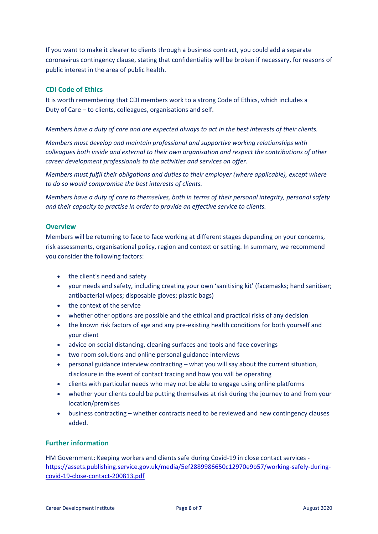If you want to make it clearer to clients through a business contract, you could add a separate coronavirus contingency clause, stating that confidentiality will be broken if necessary, for reasons of public interest in the area of public health.

## **CDI Code of Ethics**

It is worth remembering that CDI members work to a strong Code of Ethics, which includes a Duty of Care – to clients, colleagues, organisations and self.

## *Members have a duty of care and are expected always to act in the best interests of their clients.*

*Members must develop and maintain professional and supportive working relationships with colleagues both inside and external to their own organisation and respect the contributions of other career development professionals to the activities and services on offer.* 

*Members must fulfil their obligations and duties to their employer (where applicable), except where to do so would compromise the best interests of clients.*

*Members have a duty of care to themselves, both in terms of their personal integrity, personal safety and their capacity to practise in order to provide an effective service to clients.*

## **Overview**

Members will be returning to face to face working at different stages depending on your concerns, risk assessments, organisational policy, region and context or setting. In summary, we recommend you consider the following factors:

- the client's need and safety
- your needs and safety, including creating your own 'sanitising kit' (facemasks; hand sanitiser; antibacterial wipes; disposable gloves; plastic bags)
- the context of the service
- whether other options are possible and the ethical and practical risks of any decision
- the known risk factors of age and any pre-existing health conditions for both yourself and your client
- advice on social distancing, cleaning surfaces and tools and face coverings
- two room solutions and online personal guidance interviews
- personal guidance interview contracting what you will say about the current situation, disclosure in the event of contact tracing and how you will be operating
- clients with particular needs who may not be able to engage using online platforms
- whether your clients could be putting themselves at risk during the journey to and from your location/premises
- business contracting whether contracts need to be reviewed and new contingency clauses added.

## **Further information**

HM Government: Keeping workers and clients safe during Covid-19 in close contact services [https://assets.publishing.service.gov.uk/media/5ef2889986650c12970e9b57/working-safely-during](https://assets.publishing.service.gov.uk/media/5ef2889986650c12970e9b57/working-safely-during-covid-19-close-contact-200813.pdf)[covid-19-close-contact-200813.pdf](https://assets.publishing.service.gov.uk/media/5ef2889986650c12970e9b57/working-safely-during-covid-19-close-contact-200813.pdf)